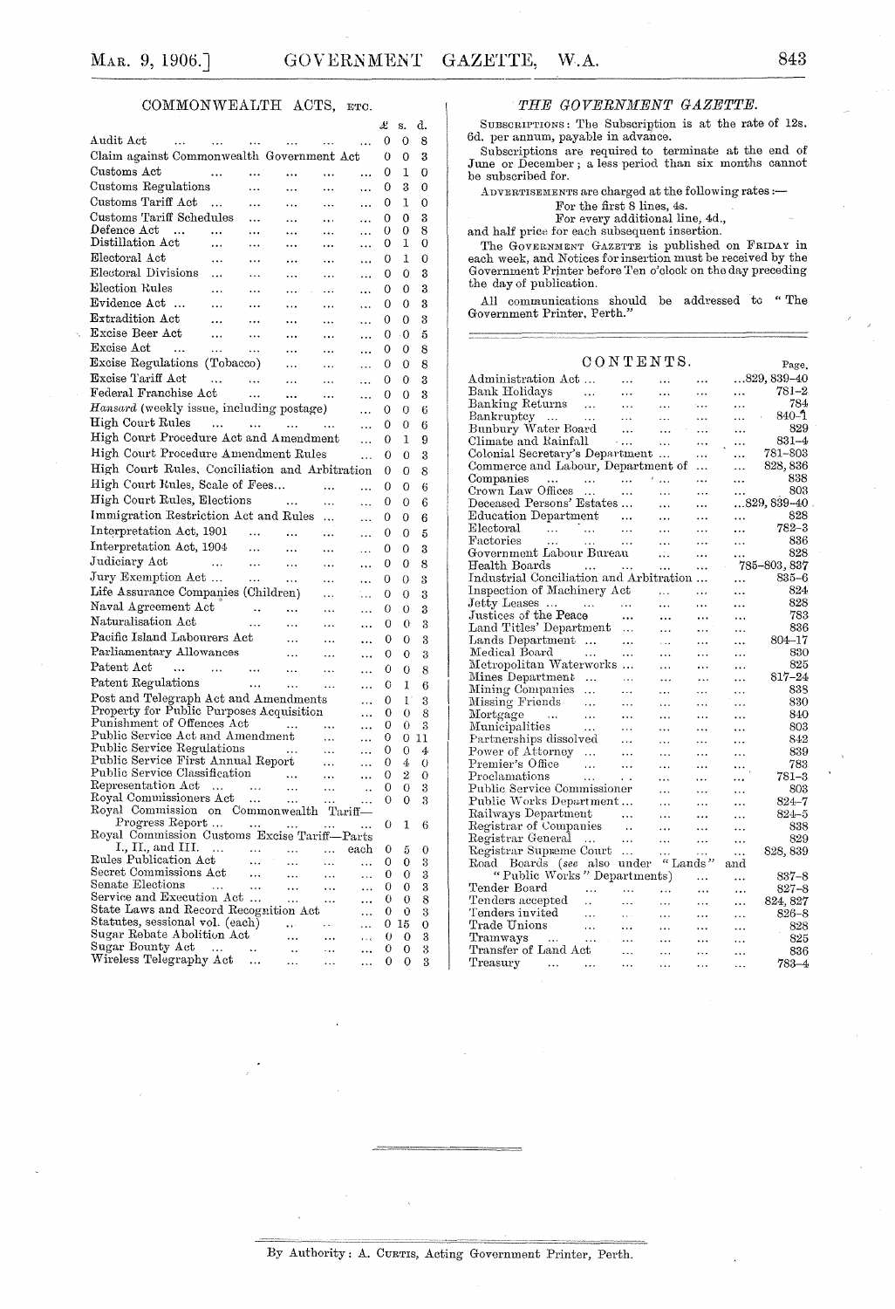## COMMONWEALTH ACTS, ETC.

|                                                                                 |                         |                                         |                       |           | x        | s.                   | α.                  |
|---------------------------------------------------------------------------------|-------------------------|-----------------------------------------|-----------------------|-----------|----------|----------------------|---------------------|
| Audit Act<br><br>$\sim$ $\sim$ $\sim$                                           | $\cdots$                | $\sim 10^{-11}$                         | $\ldots$              | .         | 0        | 0                    | 8                   |
| Claim against Commonwealth Government Act                                       |                         |                                         |                       |           | 0        | 0                    | 3                   |
| Customs Act<br>$\ddotsc$                                                        |                         |                                         |                       | .         | 0        | 1                    | 0                   |
| Customs Regulations                                                             |                         | $\ddotsc$                               | $\ddotsc$             | $\ddotsc$ | 0        | 3                    | 0                   |
| Customs Tariff Act<br>$\ddotsc$                                                 |                         | $\cdots$                                | $\cdots$              |           | 0        | 1                    | 0                   |
| Customs Tariff Schedules                                                        | $\cdots$                | $\ddotsc$                               | $\ldots$              |           | 0        | 0                    | 3                   |
| $\mathop{\rm Defence}\nolimits\mathop{\rm Act}\nolimits$<br>$\sim$<br>$\ddotsc$ |                         |                                         | $\ldots$              | <br>      | 0        | 0                    | 8                   |
| Distillation Act<br>$\ddotsc$                                                   | .                       | $\ddotsc$                               | $\ddotsc$             |           | 0        | 1                    | 0                   |
| Electoral Act<br>$\ddotsc$                                                      |                         |                                         | $\ldots$              |           | 0        | 1                    | 0                   |
| Electoral Divisions<br>                                                         | .                       |                                         |                       | .         | 0        | 0                    | 3                   |
| Election Rules<br>$\cdots$                                                      |                         |                                         |                       |           | 0        | 0                    | 3                   |
| Evidence Act<br>$\ldots$                                                        | .                       | .                                       | $\ddotsc$             | .         | 0        | 0                    | 3                   |
| Extradition Act<br>$\ddotsc$                                                    |                         |                                         |                       |           | 0        | 0                    | 3                   |
| Excise Beer Act<br>$\sim$                                                       |                         |                                         | $\ddotsc$             |           | 0        | -0                   | 5                   |
| Excise Act<br>$\sim 100$ and $\sim 100$                                         | $\cdots$                |                                         | $\ddotsc$             | .         |          | 0                    | 8                   |
| $\sim$ $\sim$ $\sim$<br>Excise Regulations (Tobacco)                            | $\ldots$                | $\ddotsc$                               | $\ldots$              |           | 0        |                      |                     |
|                                                                                 |                         | $\ldots$                                | $\ddotsc$             | .         | 0        | 0                    | 8                   |
| Excise Tariff Act<br>$\sim$ 144                                                 | $\sim$ $\sim$           | $\dots$                                 | $\ldots$              | .         | 0        | 0                    | 3                   |
| Federal Franchise Act                                                           | $\sim 10$               | $\sim 0.001$                            | $\ldots$              | .         | 0        | 0                    | 3                   |
| Hansard (weekly issue, including postage)                                       |                         |                                         |                       | .         | 0        | 0                    | 6                   |
| High Court Rules                                                                |                         |                                         |                       | .         | 0        | 0                    | 6                   |
| High Court Procedure Act and Amendment                                          |                         |                                         |                       | .         | 0        | 1                    | 9                   |
| High Court Procedure Amendment Rules                                            |                         |                                         |                       | $\ddotsc$ | 0        | 0                    | 3                   |
| High Court Rules, Conciliation and Arbitration                                  |                         |                                         |                       |           | 0        | 0                    | 8                   |
| High Court Rules, Scale of Fees                                                 |                         |                                         | .                     | .         | 0        | 0                    | 6                   |
| High Court Rules, Elections                                                     | $\sim$ $\sim$ $\sim$    |                                         | $\ddotsc$             | .         | 0        | 0                    | 6                   |
| Immigration Restriction Act and Rules                                           |                         |                                         |                       | .         | 0        | 0                    | 6                   |
| Interpretation Act, 1901                                                        | $\sim$                  | $\ddotsc$                               | $\ddotsc$             |           | 0        | 0                    | 5                   |
| Interpretation Act, 1904                                                        | $\sim 100$ km s $^{-1}$ |                                         |                       |           | 0        |                      |                     |
| Judiciary Act<br><b>Contract Contract</b>                                       |                         | $\ddotsc$                               | $\ddotsc$             | .         |          | 0                    | 3                   |
| Jury Exemption Act                                                              | $\ldots$<br>$\sim$      | $\ldots$                                |                       |           | 0        | 0                    | 8                   |
|                                                                                 |                         | $\sim 100$                              | $\ddotsc$             |           | 0        | 0                    | 3                   |
| Life Assurance Companies (Children)                                             |                         |                                         | $\ddotsc$             | ٠.,       | 0        | 0                    | 3                   |
| Naval Agreement Act                                                             | $\sim 100$ km $^{-1}$   | $\sim$ 100 $\mu$ 100 $\mu$              | $\ldots$              |           | 0        | 0                    | 3                   |
| Naturalisation Act                                                              | .                       | $\ldots$                                | $\ddotsc$             | $\ddotsc$ | 0        | 0                    | 3                   |
| Pacific Island Labourers Act                                                    |                         | $\ddotsc$                               | $\ddotsc$             | $\ddotsc$ | 0        | 0                    | 3                   |
| Parliamentary Allowances                                                        |                         | $\ddotsc$                               | $\ddotsc$             | .         | 0        | 0                    | 3                   |
| Patent Act<br>$\sim$<br>$\sim$ .                                                | $\sim 100$ km s $^{-1}$ | $\ddotsc$                               |                       | .         | 0        | 0                    | 8                   |
| Patent Regulations                                                              | $\sim 100$              | $\ddotsc$                               | $\ddotsc$             | $\ddotsc$ | 0        | 1                    | 6                   |
| Post and Telegraph Act and Amendments<br>.                                      |                         |                                         |                       |           | 0        | $\mathbf{I}^{\circ}$ | 3                   |
| Property for Public Purposes Acquisition                                        |                         |                                         |                       |           | 0        | 0                    | 8                   |
| Punishment of Offences Act                                                      |                         | $\mathcal{L}^{\text{max}}_{\text{max}}$ | $\cdots$              |           | 0        | 0                    | 3                   |
| Public Service Act and Amendment                                                |                         |                                         | $\cdots$              | .         | 0        | 0                    | 11                  |
| Public Service Regulations<br>Public Service First Annual Report                |                         |                                         | $\ldots$<br>$\ddotsc$ | <br>      | 0<br>0   | 0<br>4               | 4<br>$\overline{O}$ |
| Public Service Classification<br>Representation Act<br>Royal Commissioners Act  |                         |                                         | $\ldots$              |           | 0        | 2                    | 0                   |
|                                                                                 |                         |                                         | $\ddotsc$             | $\ddots$  | 0        | 0                    | 3                   |
|                                                                                 |                         |                                         | $\cdots$              | $\ldots$  | 0        | 0                    | 3                   |
| Royal Commission on Commonwealth Tariff-                                        |                         |                                         |                       |           |          |                      |                     |
| Progress Report                                                                 |                         | $\sim$ 0.00 $\sim$                      | $\cdots$              | $\sim$    | 0        | $\mathbf 1$          | 6                   |
| Royal Commission Customs Excise Tariff-Parts<br>1., II., and III.<br>$\ddotsc$  |                         |                                         | $\cdots$              | each      | 0        |                      |                     |
| Rules Publication Act                                                           | $\ddotsc$               |                                         |                       | .         | 0        | 5<br>0               | 0<br>3              |
| Secret Commissions Act                                                          |                         |                                         | $\ddotsc$             | .         | 0        | 0                    | 3                   |
| Senate Elections<br>$\ddot{\phantom{a}}$                                        | .                       |                                         |                       | $\ddotsc$ | 0        | 0                    | 3                   |
| Service and Execution Act                                                       |                         |                                         |                       | .         | 0        | 0                    | 8                   |
| State Laws and Record Recognition Act                                           |                         |                                         |                       | .         | 0        | Ű                    | 3                   |
| Statutes, sessional vol. (each)<br>Sugar Rebate Abolition Act                   |                         | $\ddotsc$                               | s si                  | .         | 0        | 15                   | 0                   |
| Sugar Bounty Act<br>$\ldots$                                                    |                         |                                         | $\ddotsc$             | $\cdots$  | 0<br>0   | 0<br>0               | 3<br>3              |
| Wireless Telegraphy Act                                                         |                         |                                         | .                     |           | $\Omega$ | $\Omega$             | Q                   |

### THE GOVERNMENT GAZETTE.

SUBSCRIPTIONS: The Subscription is at the rate of 12s. 6d. per annum, payable in advance.

Subscriptions are required to terminate at the end of June or December; a less period than six months cannot be subscribed for.

ADVERTISEMENTS are charged at the following rates :-

For the first 8 lines, 4s. For every additional line, 4d.,

and half price for each subsequent insertion.

The GOVERNMENT GAZETTE is published on FRIDAY in each week, and Notices for insertion must be received by the Government Printer before Ten o'clock on the day preceding the day of publication.

All communications should be addressed to "The Government Printer, Perth."

### CONTENTS. Page. Administration  $\operatorname{Act}$   $\ldots$  $...829,839-40$  $\ddots$  $\ldots$  $\sim$  . Bank Holidays  $781\hbox{--}2$  $\bar{\mathcal{A}}$  $\ddotsc$  $\ddotsc$  $\ddotsc$  $\sim$  . 784 Banking Returns  $\ldots$  $\ldots$  $\sim$  .  $\ddotsc$  $\cdots$  $\frac{D_{\text{num}}}{\text{Bankruptcy}}$ ...  $840 - 1$  $\ddotsc$  $\ddotsc$  $\Delta\Delta\Delta$  $\ddotsc$ Bankruptcy<br>Bunbury Water Board<br>Climate and Rainfall 829  $\ddotsc$  $\ddotsc$  $\ddotsc$  $\dddotsc$  $\sim$   $\sim$  $831 - 4$  $\ddotsc$  $\ddotsc$  $\ddotsc$ Colonial Secretary's Department ... 781-803  $\cdots$  $\ldots$ Commerce and Labour, Department of 828, 836  $\ddotsc$  $\ldots$ Companies ... ... ...<br>Crown Law Offices ... ...<br>Deceased Persons' Estates ... 838  $\sim$  . . .  $\mathcal{F}_{\mathcal{A},\bullet,\bullet}$ ...  $\ddotsc$ 803  $\ldots$  $\ddotsc$  $\ddotsc$  $...829,839-40$  $\ddotsc$  $\ddotsc$ Education Department ... 828  $\ddotsc$  $\ddotsc$  $\ddotsc$  $782 - 3$ Electoral المنكاب النبيات  $\sim 100$  $\ldots$  $\ddotsc$  $\ldots$ Factories 836 ...  $\ddotsc$  $\ldots$ Government Labour Bureau 828  $\sqrt{\epsilon}$  .  $\ddotsc$ 785-803, 837 Health Boards  $\ddotsc$ Industrial Conciliation and Arbitration ...  $835 - 6$  $\ddotsc$ Inspection of Machinery Act 824  $\sim$  $\ddotsc$  $\ddotsc$ 828 Jetty Leases ...  $\sim$  100  $\sim 100$  $\ddotsc$  $\ddotsc$  $\ddotsc$ Justices of the Peace 783  $\ddotsc$  $\ddotsc$  $\ldots$  $\ldots$  $\mbox{{\sc Land\,}Tities' Department}~~...$ 836  $\ddotsc$  $\ddotsc$  $\ldots$ Lands Department ... ...<br>Medical Board ... ... 804-17  $\ldots$  $\sim$  . .  $\ddotsc$ 830  $\ddotsc$  $\ddotsc$  $\ddotsc$ Metropolitan Waterworks ... 825 ...  $\ldots$  $\bar{\mathcal{L}}$  . Mines Department ...  $817 - 24$  $\sim$  10  $\mu$  10  $\mu$  $\ddotsc$  $\ddotsc$  $\ddotsc$ Mining Companies ... 838  $\sim$   $\sim$   $\sim$  $\ldots$  $\ldots$  $\ddotsc$ Missing Friends ... 830  $\ldots$  $\ldots$  $\ddotsc$  $\ldots$ Mortgage 840  $\sim$  $\ldots$  $\ddotsc$  $\ldots$  $\ddotsc$  $\ddotsc$ Moregage ... ...<br>Municipalities ...<br>Partnerships dissolved  $\ddotsc$ ...  $\ddotsc$  $\ddotsc$ 803 842  $\ddotsc$  $\ddotsc$  $\ldots$  $\ldots$ Power of Attorney ... 839  $\ddotsc$  $\ddotsc$  $\ddotsc$  $\ddotsc$ Premier's Office  $783\,$  $\sim$  144  $\ldots$  $\ddotsc$  $\sim$  .  $\ddotsc$ Proclamations  $781 - 3$  $\ldots$  $\ldots$  $\ldots$ Public Service Commissioner<br>Public Works Department... 803  $\ddotsc$  $\ddotsc$  $\ddotsc$ 824-7  $\ddotsc$  $\ddotsc$  $\ddotsc$ Railways Department  $824 - 5$  $\cdots$ ...  $\ddotsc$  $\ddotsc$ Registrar of Companies  $\sim$  $\ddotsc$  $\ddotsc$  $\ddotsc$ 838 Registrar General Registrar General ... ...<br>Registrar Supreme Court ... 829  $\ddotsc$  $\ddotsc$  $\ldots$  $\sim$  . 828, 839 Exegnstrar Supreme Court ... ... ...<br>Road Boards (see also under "Lands"<br>"Public Works" Departments) ... and  $837 - 8$ <br> $827 - 8$  $\ldots$ Tender Board  $\sim$  $\ddotsc$  $\ddotsc$  $\ddotsc$ Tenders accepted 824, 827  $\sim$  $\ddotsc$  $\ddotsc$  $\bar{\mathbf{r}}$  .  $\ddotsc$ Tenders invited  $826 - 8$  $\ddotsc$  $\mathcal{L}_{\mathcal{A}}$  .  $\ddotsc$  $\ddotsc$  $\ddotsc$ Trade Unions 828  $\sim 100$  $\ldots$  $\ldots$  $\cdots$  $\ddotsc$ Tramways 825  $\bar{\mathbf{r}}$  ,  $\bar{\mathbf{r}}$  $\ldots$  $\ldots$  $\ldots$ Transfer of Land Act 836 Ц,  $\ddotsc$  $\sim$  .  $\ddotsc$ Treasury  $783 - 4$  $\sim$  $\ddotsc$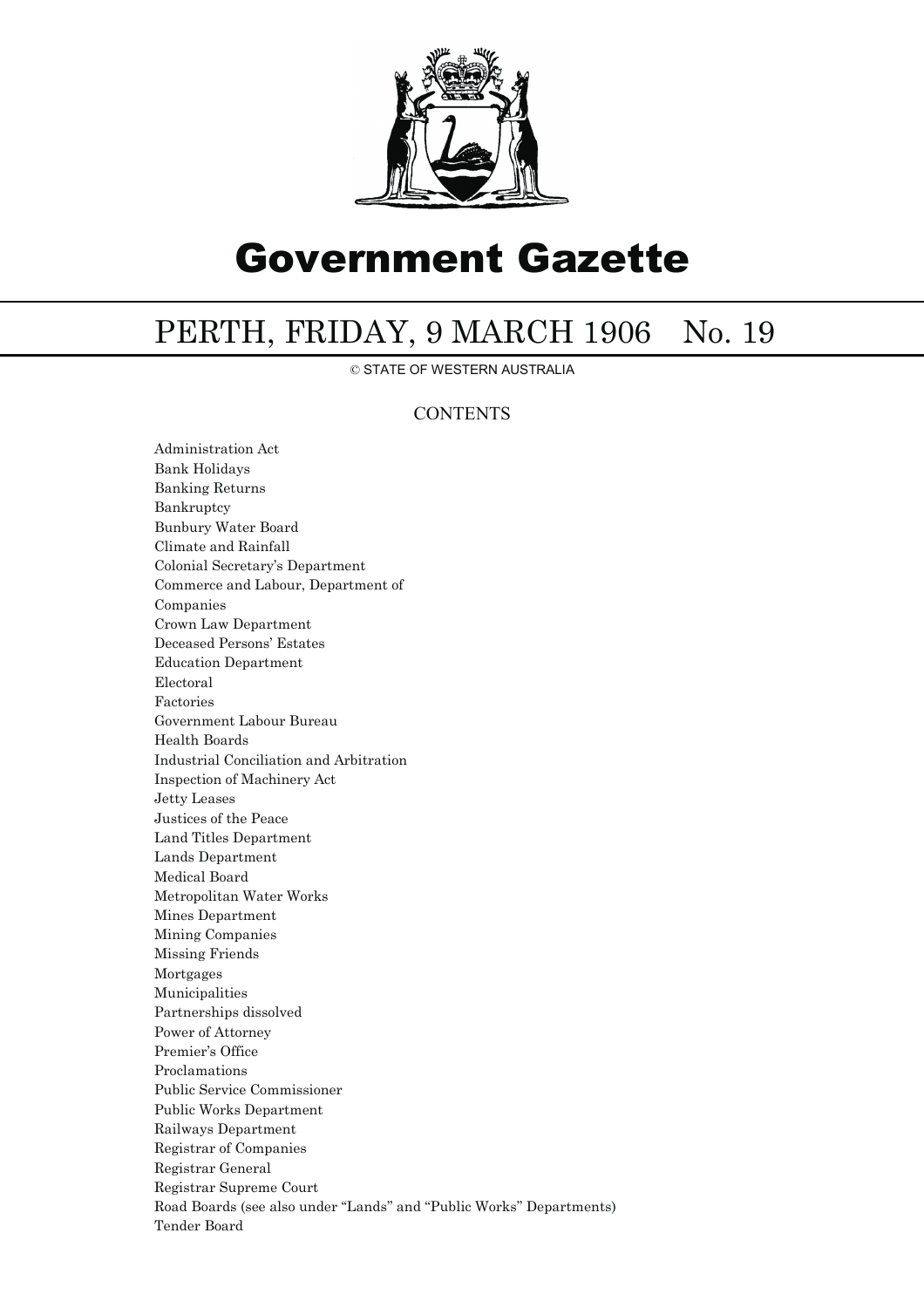

# Government Gazette

## PERTH, FRIDAY, 9 MARCH 1906 No. 19

© STATE OF WESTERN AUSTRALIA

## **CONTENTS**

Administration Act Bank Holidays Banking Returns Bankruptcy Bunbury Water Board Climate and Rainfall Colonial Secretary's Department Commerce and Labour, Department of Companies Crown Law Department Deceased Persons' Estates Education Department Electoral Factories Government Labour Bureau Health Boards Industrial Conciliation and Arbitration Inspection of Machinery Act Jetty Leases Justices of the Peace Land Titles Department Lands Department Medical Board Metropolitan Water Works Mines Department Mining Companies Missing Friends Mortgages Municipalities Partnerships dissolved Power of Attorney Premier's Office Proclamations Public Service Commissioner Public Works Department Railways Department Registrar of Companies Registrar General Registrar Supreme Court Road Boards (see also under ''Lands'' and ''Public Works'' Departments) Tender Board